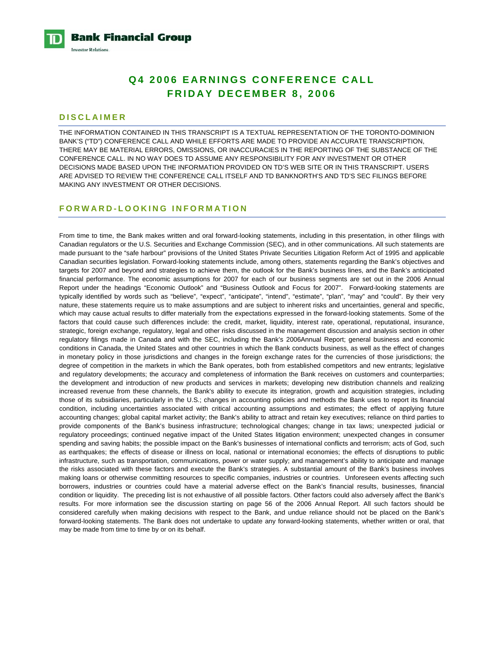**Bank Financial Group Investor Relations** 

# **Q4 2006 EARNINGS CONFERENCE CALL FRIDAY DECEMBER 8, 2006**

### **DISCLAIMER**

THE INFORMATION CONTAINED IN THIS TRANSCRIPT IS A TEXTUAL REPRESENTATION OF THE TORONTO-DOMINION BANK'S ("TD") CONFERENCE CALL AND WHILE EFFORTS ARE MADE TO PROVIDE AN ACCURATE TRANSCRIPTION, THERE MAY BE MATERIAL ERRORS, OMISSIONS, OR INACCURACIES IN THE REPORTING OF THE SUBSTANCE OF THE CONFERENCE CALL. IN NO WAY DOES TD ASSUME ANY RESPONSIBILITY FOR ANY INVESTMENT OR OTHER DECISIONS MADE BASED UPON THE INFORMATION PROVIDED ON TD'S WEB SITE OR IN THIS TRANSCRIPT. USERS ARE ADVISED TO REVIEW THE CONFERENCE CALL ITSELF AND TD BANKNORTH'S AND TD'S SEC FILINGS BEFORE MAKING ANY INVESTMENT OR OTHER DECISIONS.

### **FORWARD-LOOKING INFORMATION**

From time to time, the Bank makes written and oral forward-looking statements, including in this presentation, in other filings with Canadian regulators or the U.S. Securities and Exchange Commission (SEC), and in other communications. All such statements are made pursuant to the "safe harbour" provisions of the United States Private Securities Litigation Reform Act of 1995 and applicable Canadian securities legislation. Forward-looking statements include, among others, statements regarding the Bank's objectives and targets for 2007 and beyond and strategies to achieve them, the outlook for the Bank's business lines, and the Bank's anticipated financial performance. The economic assumptions for 2007 for each of our business segments are set out in the 2006 Annual Report under the headings "Economic Outlook" and "Business Outlook and Focus for 2007". Forward-looking statements are typically identified by words such as "believe", "expect", "anticipate", "intend", "estimate", "plan", "may" and "could". By their very nature, these statements require us to make assumptions and are subject to inherent risks and uncertainties, general and specific, which may cause actual results to differ materially from the expectations expressed in the forward-looking statements. Some of the factors that could cause such differences include: the credit, market, liquidity, interest rate, operational, reputational, insurance, strategic, foreign exchange, regulatory, legal and other risks discussed in the management discussion and analysis section in other regulatory filings made in Canada and with the SEC, including the Bank's 2006Annual Report; general business and economic conditions in Canada, the United States and other countries in which the Bank conducts business, as well as the effect of changes in monetary policy in those jurisdictions and changes in the foreign exchange rates for the currencies of those jurisdictions; the degree of competition in the markets in which the Bank operates, both from established competitors and new entrants; legislative and regulatory developments; the accuracy and completeness of information the Bank receives on customers and counterparties; the development and introduction of new products and services in markets; developing new distribution channels and realizing increased revenue from these channels, the Bank's ability to execute its integration, growth and acquisition strategies, including those of its subsidiaries, particularly in the U.S.; changes in accounting policies and methods the Bank uses to report its financial condition, including uncertainties associated with critical accounting assumptions and estimates; the effect of applying future accounting changes; global capital market activity; the Bank's ability to attract and retain key executives; reliance on third parties to provide components of the Bank's business infrastructure; technological changes; change in tax laws; unexpected judicial or regulatory proceedings; continued negative impact of the United States litigation environment; unexpected changes in consumer spending and saving habits; the possible impact on the Bank's businesses of international conflicts and terrorism; acts of God, such as earthquakes; the effects of disease or illness on local, national or international economies; the effects of disruptions to public infrastructure, such as transportation, communications, power or water supply; and management's ability to anticipate and manage the risks associated with these factors and execute the Bank's strategies. A substantial amount of the Bank's business involves making loans or otherwise committing resources to specific companies, industries or countries. Unforeseen events affecting such borrowers, industries or countries could have a material adverse effect on the Bank's financial results, businesses, financial condition or liquidity. The preceding list is not exhaustive of all possible factors. Other factors could also adversely affect the Bank's results. For more information see the discussion starting on page 56 of the 2006 Annual Report. All such factors should be considered carefully when making decisions with respect to the Bank, and undue reliance should not be placed on the Bank's forward-looking statements. The Bank does not undertake to update any forward-looking statements, whether written or oral, that may be made from time to time by or on its behalf.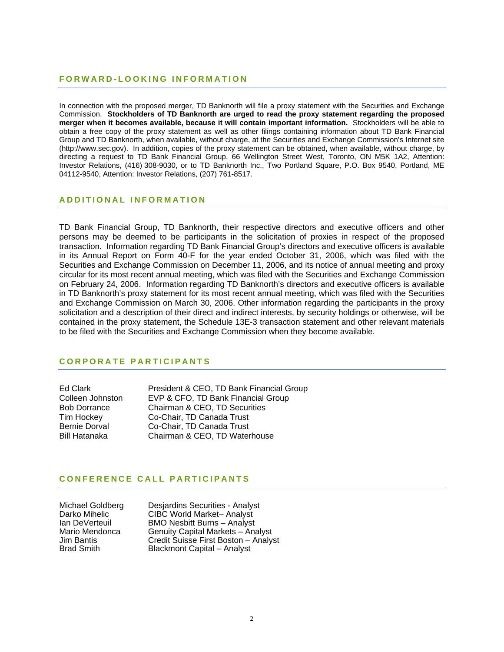# **FORWARD-LOOKING INFORMATION**

In connection with the proposed merger, TD Banknorth will file a proxy statement with the Securities and Exchange Commission. **Stockholders of TD Banknorth are urged to read the proxy statement regarding the proposed merger when it becomes available, because it will contain important information.** Stockholders will be able to obtain a free copy of the proxy statement as well as other filings containing information about TD Bank Financial Group and TD Banknorth, when available, without charge, at the Securities and Exchange Commission's Internet site (http://www.sec.gov). In addition, copies of the proxy statement can be obtained, when available, without charge, by directing a request to TD Bank Financial Group, 66 Wellington Street West, Toronto, ON M5K 1A2, Attention: Investor Relations, (416) 308-9030, or to TD Banknorth Inc., Two Portland Square, P.O. Box 9540, Portland, ME 04112-9540, Attention: Investor Relations, (207) 761-8517.

# **ADDITIONAL INFORMATION**

TD Bank Financial Group, TD Banknorth, their respective directors and executive officers and other persons may be deemed to be participants in the solicitation of proxies in respect of the proposed transaction. Information regarding TD Bank Financial Group's directors and executive officers is available in its Annual Report on Form 40-F for the year ended October 31, 2006, which was filed with the Securities and Exchange Commission on December 11, 2006, and its notice of annual meeting and proxy circular for its most recent annual meeting, which was filed with the Securities and Exchange Commission on February 24, 2006. Information regarding TD Banknorth's directors and executive officers is available in TD Banknorth's proxy statement for its most recent annual meeting, which was filed with the Securities and Exchange Commission on March 30, 2006. Other information regarding the participants in the proxy solicitation and a description of their direct and indirect interests, by security holdings or otherwise, will be contained in the proxy statement, the Schedule 13E-3 transaction statement and other relevant materials to be filed with the Securities and Exchange Commission when they become available.

### **CORPORATE PARTICIPANTS**

Ed Clark President & CEO, TD Bank Financial Group Colleen Johnston EVP & CFO, TD Bank Financial Group Bob Dorrance Chairman & CEO, TD Securities Tim Hockey Co-Chair, TD Canada Trust Bernie Dorval Co-Chair, TD Canada Trust Chairman & CEO, TD Waterhouse

# **CONFERENCE CALL PARTICIPANTS**

Michael Goldberg Desjardins Securities - Analyst<br>Darko Mihelic CIBC World Market– Analyst Darko Mihelic CIBC World Market– Analyst Ian DeVerteuil BMO Nesbitt Burns – Analyst Mario Mendonca Genuity Capital Markets – Analyst<br>Jim Bantis – Gredit Suisse First Boston – Analyst Jim Bantis Credit Suisse First Boston – Analyst Blackmont Capital – Analyst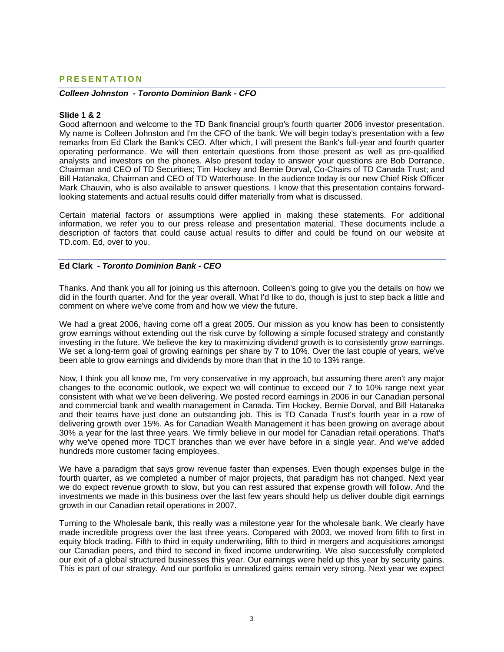### **PRESENTATION**

#### *Colleen Johnston - Toronto Dominion Bank - CFO*

#### **Slide 1 & 2**

Good afternoon and welcome to the TD Bank financial group's fourth quarter 2006 investor presentation. My name is Colleen Johnston and I'm the CFO of the bank. We will begin today's presentation with a few remarks from Ed Clark the Bank's CEO. After which, I will present the Bank's full-year and fourth quarter operating performance. We will then entertain questions from those present as well as pre-qualified analysts and investors on the phones. Also present today to answer your questions are Bob Dorrance, Chairman and CEO of TD Securities; Tim Hockey and Bernie Dorval, Co-Chairs of TD Canada Trust; and Bill Hatanaka, Chairman and CEO of TD Waterhouse. In the audience today is our new Chief Risk Officer Mark Chauvin, who is also available to answer questions. I know that this presentation contains forwardlooking statements and actual results could differ materially from what is discussed.

Certain material factors or assumptions were applied in making these statements. For additional information, we refer you to our press release and presentation material. These documents include a description of factors that could cause actual results to differ and could be found on our website at TD.com. Ed, over to you.

#### **Ed Clark** *- Toronto Dominion Bank - CEO*

Thanks. And thank you all for joining us this afternoon. Colleen's going to give you the details on how we did in the fourth quarter. And for the year overall. What I'd like to do, though is just to step back a little and comment on where we've come from and how we view the future.

We had a great 2006, having come off a great 2005. Our mission as you know has been to consistently grow earnings without extending out the risk curve by following a simple focused strategy and constantly investing in the future. We believe the key to maximizing dividend growth is to consistently grow earnings. We set a long-term goal of growing earnings per share by 7 to 10%. Over the last couple of years, we've been able to grow earnings and dividends by more than that in the 10 to 13% range.

Now, I think you all know me, I'm very conservative in my approach, but assuming there aren't any major changes to the economic outlook, we expect we will continue to exceed our 7 to 10% range next year consistent with what we've been delivering. We posted record earnings in 2006 in our Canadian personal and commercial bank and wealth management in Canada. Tim Hockey, Bernie Dorval, and Bill Hatanaka and their teams have just done an outstanding job. This is TD Canada Trust's fourth year in a row of delivering growth over 15%. As for Canadian Wealth Management it has been growing on average about 30% a year for the last three years. We firmly believe in our model for Canadian retail operations. That's why we've opened more TDCT branches than we ever have before in a single year. And we've added hundreds more customer facing employees.

We have a paradigm that says grow revenue faster than expenses. Even though expenses bulge in the fourth quarter, as we completed a number of major projects, that paradigm has not changed. Next year we do expect revenue growth to slow, but you can rest assured that expense growth will follow. And the investments we made in this business over the last few years should help us deliver double digit earnings growth in our Canadian retail operations in 2007.

Turning to the Wholesale bank, this really was a milestone year for the wholesale bank. We clearly have made incredible progress over the last three years. Compared with 2003, we moved from fifth to first in equity block trading. Fifth to third in equity underwriting, fifth to third in mergers and acquisitions amongst our Canadian peers, and third to second in fixed income underwriting. We also successfully completed our exit of a global structured businesses this year. Our earnings were held up this year by security gains. This is part of our strategy. And our portfolio is unrealized gains remain very strong. Next year we expect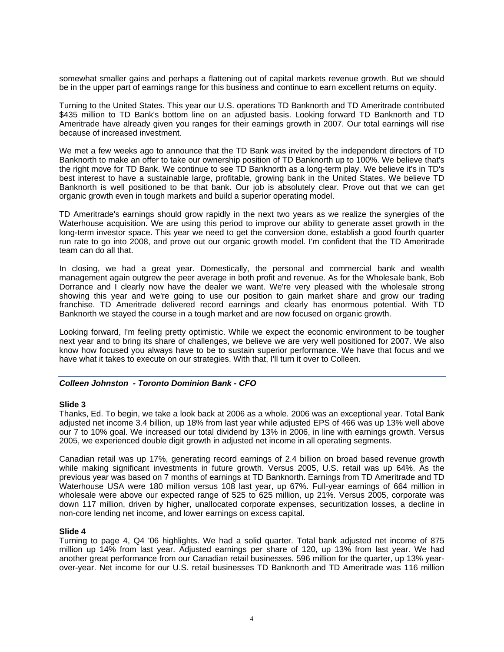somewhat smaller gains and perhaps a flattening out of capital markets revenue growth. But we should be in the upper part of earnings range for this business and continue to earn excellent returns on equity.

Turning to the United States. This year our U.S. operations TD Banknorth and TD Ameritrade contributed \$435 million to TD Bank's bottom line on an adjusted basis. Looking forward TD Banknorth and TD Ameritrade have already given you ranges for their earnings growth in 2007. Our total earnings will rise because of increased investment.

We met a few weeks ago to announce that the TD Bank was invited by the independent directors of TD Banknorth to make an offer to take our ownership position of TD Banknorth up to 100%. We believe that's the right move for TD Bank. We continue to see TD Banknorth as a long-term play. We believe it's in TD's best interest to have a sustainable large, profitable, growing bank in the United States. We believe TD Banknorth is well positioned to be that bank. Our job is absolutely clear. Prove out that we can get organic growth even in tough markets and build a superior operating model.

TD Ameritrade's earnings should grow rapidly in the next two years as we realize the synergies of the Waterhouse acquisition. We are using this period to improve our ability to generate asset growth in the long-term investor space. This year we need to get the conversion done, establish a good fourth quarter run rate to go into 2008, and prove out our organic growth model. I'm confident that the TD Ameritrade team can do all that.

In closing, we had a great year. Domestically, the personal and commercial bank and wealth management again outgrew the peer average in both profit and revenue. As for the Wholesale bank, Bob Dorrance and I clearly now have the dealer we want. We're very pleased with the wholesale strong showing this year and we're going to use our position to gain market share and grow our trading franchise. TD Ameritrade delivered record earnings and clearly has enormous potential. With TD Banknorth we stayed the course in a tough market and are now focused on organic growth.

Looking forward, I'm feeling pretty optimistic. While we expect the economic environment to be tougher next year and to bring its share of challenges, we believe we are very well positioned for 2007. We also know how focused you always have to be to sustain superior performance. We have that focus and we have what it takes to execute on our strategies. With that, I'll turn it over to Colleen.

### *Colleen Johnston - Toronto Dominion Bank - CFO*

### **Slide 3**

Thanks, Ed. To begin, we take a look back at 2006 as a whole. 2006 was an exceptional year. Total Bank adjusted net income 3.4 billion, up 18% from last year while adjusted EPS of 466 was up 13% well above our 7 to 10% goal. We increased our total dividend by 13% in 2006, in line with earnings growth. Versus 2005, we experienced double digit growth in adjusted net income in all operating segments.

Canadian retail was up 17%, generating record earnings of 2.4 billion on broad based revenue growth while making significant investments in future growth. Versus 2005, U.S. retail was up 64%. As the previous year was based on 7 months of earnings at TD Banknorth. Earnings from TD Ameritrade and TD Waterhouse USA were 180 million versus 108 last year, up 67%. Full-year earnings of 664 million in wholesale were above our expected range of 525 to 625 million, up 21%. Versus 2005, corporate was down 117 million, driven by higher, unallocated corporate expenses, securitization losses, a decline in non-core lending net income, and lower earnings on excess capital.

### **Slide 4**

Turning to page 4, Q4 '06 highlights. We had a solid quarter. Total bank adjusted net income of 875 million up 14% from last year. Adjusted earnings per share of 120, up 13% from last year. We had another great performance from our Canadian retail businesses. 596 million for the quarter, up 13% yearover-year. Net income for our U.S. retail businesses TD Banknorth and TD Ameritrade was 116 million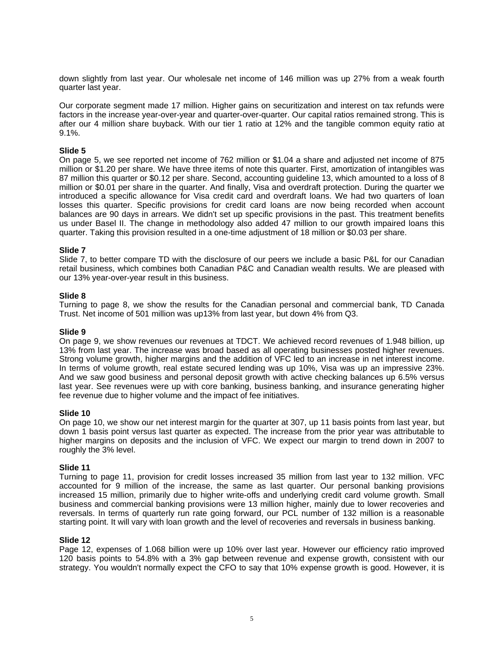down slightly from last year. Our wholesale net income of 146 million was up 27% from a weak fourth quarter last year.

Our corporate segment made 17 million. Higher gains on securitization and interest on tax refunds were factors in the increase year-over-year and quarter-over-quarter. Our capital ratios remained strong. This is after our 4 million share buyback. With our tier 1 ratio at 12% and the tangible common equity ratio at 9.1%.

### **Slide 5**

On page 5, we see reported net income of 762 million or \$1.04 a share and adjusted net income of 875 million or \$1.20 per share. We have three items of note this quarter. First, amortization of intangibles was 87 million this quarter or \$0.12 per share. Second, accounting guideline 13, which amounted to a loss of 8 million or \$0.01 per share in the quarter. And finally, Visa and overdraft protection. During the quarter we introduced a specific allowance for Visa credit card and overdraft loans. We had two quarters of loan losses this quarter. Specific provisions for credit card loans are now being recorded when account balances are 90 days in arrears. We didn't set up specific provisions in the past. This treatment benefits us under Basel II. The change in methodology also added 47 million to our growth impaired loans this quarter. Taking this provision resulted in a one-time adjustment of 18 million or \$0.03 per share.

### **Slide 7**

Slide 7, to better compare TD with the disclosure of our peers we include a basic P&L for our Canadian retail business, which combines both Canadian P&C and Canadian wealth results. We are pleased with our 13% year-over-year result in this business.

#### **Slide 8**

Turning to page 8, we show the results for the Canadian personal and commercial bank, TD Canada Trust. Net income of 501 million was up13% from last year, but down 4% from Q3.

#### **Slide 9**

On page 9, we show revenues our revenues at TDCT. We achieved record revenues of 1.948 billion, up 13% from last year. The increase was broad based as all operating businesses posted higher revenues. Strong volume growth, higher margins and the addition of VFC led to an increase in net interest income. In terms of volume growth, real estate secured lending was up 10%, Visa was up an impressive 23%. And we saw good business and personal deposit growth with active checking balances up 6.5% versus last year. See revenues were up with core banking, business banking, and insurance generating higher fee revenue due to higher volume and the impact of fee initiatives.

#### **Slide 10**

On page 10, we show our net interest margin for the quarter at 307, up 11 basis points from last year, but down 1 basis point versus last quarter as expected. The increase from the prior year was attributable to higher margins on deposits and the inclusion of VFC. We expect our margin to trend down in 2007 to roughly the 3% level.

#### **Slide 11**

Turning to page 11, provision for credit losses increased 35 million from last year to 132 million. VFC accounted for 9 million of the increase, the same as last quarter. Our personal banking provisions increased 15 million, primarily due to higher write-offs and underlying credit card volume growth. Small business and commercial banking provisions were 13 million higher, mainly due to lower recoveries and reversals. In terms of quarterly run rate going forward, our PCL number of 132 million is a reasonable starting point. It will vary with loan growth and the level of recoveries and reversals in business banking.

#### **Slide 12**

Page 12, expenses of 1.068 billion were up 10% over last year. However our efficiency ratio improved 120 basis points to 54.8% with a 3% gap between revenue and expense growth, consistent with our strategy. You wouldn't normally expect the CFO to say that 10% expense growth is good. However, it is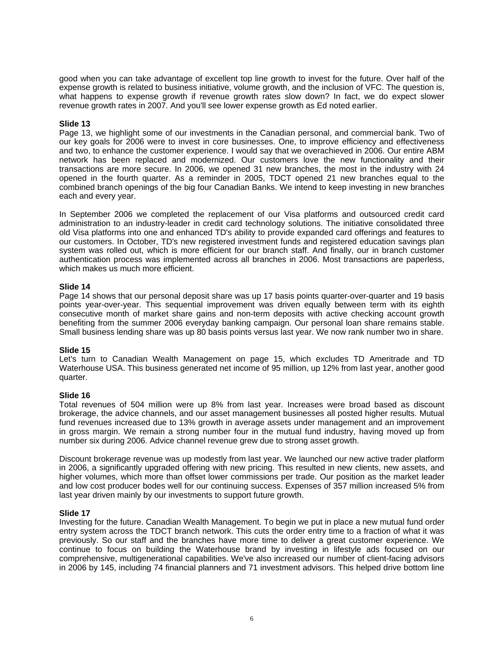good when you can take advantage of excellent top line growth to invest for the future. Over half of the expense growth is related to business initiative, volume growth, and the inclusion of VFC. The question is, what happens to expense growth if revenue growth rates slow down? In fact, we do expect slower revenue growth rates in 2007. And you'll see lower expense growth as Ed noted earlier.

### **Slide 13**

Page 13, we highlight some of our investments in the Canadian personal, and commercial bank. Two of our key goals for 2006 were to invest in core businesses. One, to improve efficiency and effectiveness and two, to enhance the customer experience. I would say that we overachieved in 2006. Our entire ABM network has been replaced and modernized. Our customers love the new functionality and their transactions are more secure. In 2006, we opened 31 new branches, the most in the industry with 24 opened in the fourth quarter. As a reminder in 2005, TDCT opened 21 new branches equal to the combined branch openings of the big four Canadian Banks. We intend to keep investing in new branches each and every year.

In September 2006 we completed the replacement of our Visa platforms and outsourced credit card administration to an industry-leader in credit card technology solutions. The initiative consolidated three old Visa platforms into one and enhanced TD's ability to provide expanded card offerings and features to our customers. In October, TD's new registered investment funds and registered education savings plan system was rolled out, which is more efficient for our branch staff. And finally, our in branch customer authentication process was implemented across all branches in 2006. Most transactions are paperless, which makes us much more efficient.

### **Slide 14**

Page 14 shows that our personal deposit share was up 17 basis points quarter-over-quarter and 19 basis points year-over-year. This sequential improvement was driven equally between term with its eighth consecutive month of market share gains and non-term deposits with active checking account growth benefiting from the summer 2006 everyday banking campaign. Our personal loan share remains stable. Small business lending share was up 80 basis points versus last year. We now rank number two in share.

### **Slide 15**

Let's turn to Canadian Wealth Management on page 15, which excludes TD Ameritrade and TD Waterhouse USA. This business generated net income of 95 million, up 12% from last year, another good quarter.

#### **Slide 16**

Total revenues of 504 million were up 8% from last year. Increases were broad based as discount brokerage, the advice channels, and our asset management businesses all posted higher results. Mutual fund revenues increased due to 13% growth in average assets under management and an improvement in gross margin. We remain a strong number four in the mutual fund industry, having moved up from number six during 2006. Advice channel revenue grew due to strong asset growth.

Discount brokerage revenue was up modestly from last year. We launched our new active trader platform in 2006, a significantly upgraded offering with new pricing. This resulted in new clients, new assets, and higher volumes, which more than offset lower commissions per trade. Our position as the market leader and low cost producer bodes well for our continuing success. Expenses of 357 million increased 5% from last year driven mainly by our investments to support future growth.

### **Slide 17**

Investing for the future. Canadian Wealth Management. To begin we put in place a new mutual fund order entry system across the TDCT branch network. This cuts the order entry time to a fraction of what it was previously. So our staff and the branches have more time to deliver a great customer experience. We continue to focus on building the Waterhouse brand by investing in lifestyle ads focused on our comprehensive, multigenerational capabilities. We've also increased our number of client-facing advisors in 2006 by 145, including 74 financial planners and 71 investment advisors. This helped drive bottom line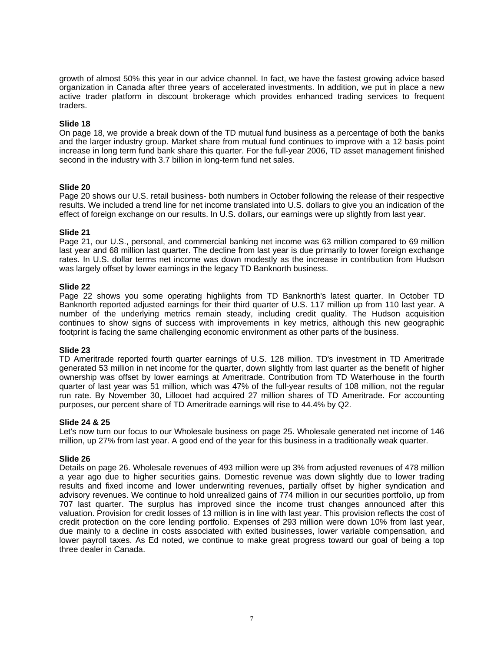growth of almost 50% this year in our advice channel. In fact, we have the fastest growing advice based organization in Canada after three years of accelerated investments. In addition, we put in place a new active trader platform in discount brokerage which provides enhanced trading services to frequent traders.

### **Slide 18**

On page 18, we provide a break down of the TD mutual fund business as a percentage of both the banks and the larger industry group. Market share from mutual fund continues to improve with a 12 basis point increase in long term fund bank share this quarter. For the full-year 2006, TD asset management finished second in the industry with 3.7 billion in long-term fund net sales.

### **Slide 20**

Page 20 shows our U.S. retail business- both numbers in October following the release of their respective results. We included a trend line for net income translated into U.S. dollars to give you an indication of the effect of foreign exchange on our results. In U.S. dollars, our earnings were up slightly from last year.

### **Slide 21**

Page 21, our U.S., personal, and commercial banking net income was 63 million compared to 69 million last year and 68 million last quarter. The decline from last year is due primarily to lower foreign exchange rates. In U.S. dollar terms net income was down modestly as the increase in contribution from Hudson was largely offset by lower earnings in the legacy TD Banknorth business.

### **Slide 22**

Page 22 shows you some operating highlights from TD Banknorth's latest quarter. In October TD Banknorth reported adjusted earnings for their third quarter of U.S. 117 million up from 110 last year. A number of the underlying metrics remain steady, including credit quality. The Hudson acquisition continues to show signs of success with improvements in key metrics, although this new geographic footprint is facing the same challenging economic environment as other parts of the business.

### **Slide 23**

TD Ameritrade reported fourth quarter earnings of U.S. 128 million. TD's investment in TD Ameritrade generated 53 million in net income for the quarter, down slightly from last quarter as the benefit of higher ownership was offset by lower earnings at Ameritrade. Contribution from TD Waterhouse in the fourth quarter of last year was 51 million, which was 47% of the full-year results of 108 million, not the regular run rate. By November 30, Lillooet had acquired 27 million shares of TD Ameritrade. For accounting purposes, our percent share of TD Ameritrade earnings will rise to 44.4% by Q2.

#### **Slide 24 & 25**

Let's now turn our focus to our Wholesale business on page 25. Wholesale generated net income of 146 million, up 27% from last year. A good end of the year for this business in a traditionally weak quarter.

#### **Slide 26**

Details on page 26. Wholesale revenues of 493 million were up 3% from adjusted revenues of 478 million a year ago due to higher securities gains. Domestic revenue was down slightly due to lower trading results and fixed income and lower underwriting revenues, partially offset by higher syndication and advisory revenues. We continue to hold unrealized gains of 774 million in our securities portfolio, up from 707 last quarter. The surplus has improved since the income trust changes announced after this valuation. Provision for credit losses of 13 million is in line with last year. This provision reflects the cost of credit protection on the core lending portfolio. Expenses of 293 million were down 10% from last year, due mainly to a decline in costs associated with exited businesses, lower variable compensation, and lower payroll taxes. As Ed noted, we continue to make great progress toward our goal of being a top three dealer in Canada.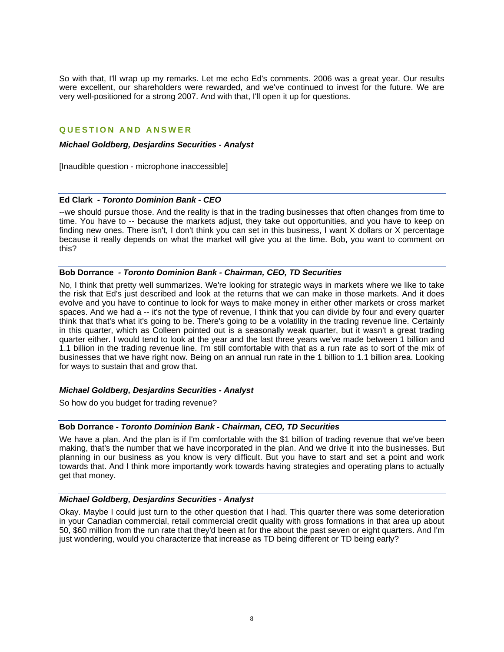So with that, I'll wrap up my remarks. Let me echo Ed's comments. 2006 was a great year. Our results were excellent, our shareholders were rewarded, and we've continued to invest for the future. We are very well-positioned for a strong 2007. And with that, I'll open it up for questions.

# **QUESTION AND ANSWER**

### *Michael Goldberg, Desjardins Securities - Analyst*

[Inaudible question - microphone inaccessible]

# **Ed Clark** *- Toronto Dominion Bank - CEO*

--we should pursue those. And the reality is that in the trading businesses that often changes from time to time. You have to -- because the markets adjust, they take out opportunities, and you have to keep on finding new ones. There isn't, I don't think you can set in this business, I want X dollars or X percentage because it really depends on what the market will give you at the time. Bob, you want to comment on this?

### **Bob Dorrance** *- Toronto Dominion Bank - Chairman, CEO, TD Securities*

No, I think that pretty well summarizes. We're looking for strategic ways in markets where we like to take the risk that Ed's just described and look at the returns that we can make in those markets. And it does evolve and you have to continue to look for ways to make money in either other markets or cross market spaces. And we had a -- it's not the type of revenue, I think that you can divide by four and every quarter think that that's what it's going to be. There's going to be a volatility in the trading revenue line. Certainly in this quarter, which as Colleen pointed out is a seasonally weak quarter, but it wasn't a great trading quarter either. I would tend to look at the year and the last three years we've made between 1 billion and 1.1 billion in the trading revenue line. I'm still comfortable with that as a run rate as to sort of the mix of businesses that we have right now. Being on an annual run rate in the 1 billion to 1.1 billion area. Looking for ways to sustain that and grow that.

### *Michael Goldberg, Desjardins Securities - Analyst*

So how do you budget for trading revenue?

### **Bob Dorrance** *- Toronto Dominion Bank - Chairman, CEO, TD Securities*

We have a plan. And the plan is if I'm comfortable with the \$1 billion of trading revenue that we've been making, that's the number that we have incorporated in the plan. And we drive it into the businesses. But planning in our business as you know is very difficult. But you have to start and set a point and work towards that. And I think more importantly work towards having strategies and operating plans to actually get that money.

### *Michael Goldberg, Desjardins Securities - Analyst*

Okay. Maybe I could just turn to the other question that I had. This quarter there was some deterioration in your Canadian commercial, retail commercial credit quality with gross formations in that area up about 50, \$60 million from the run rate that they'd been at for the about the past seven or eight quarters. And I'm just wondering, would you characterize that increase as TD being different or TD being early?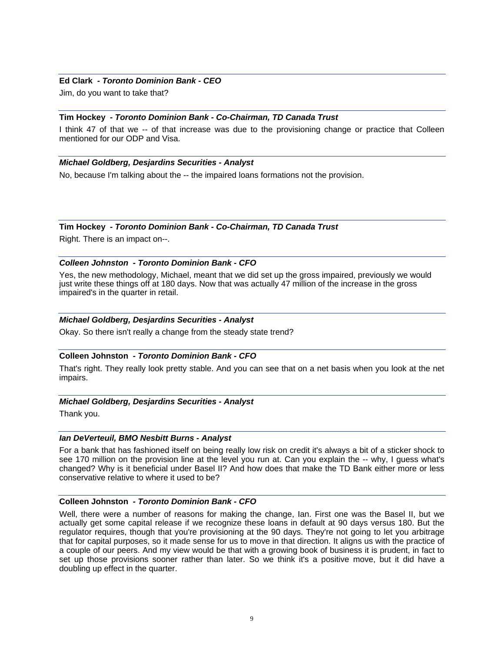### **Ed Clark** *- Toronto Dominion Bank - CEO*

Jim, do you want to take that?

### **Tim Hockey** *- Toronto Dominion Bank - Co-Chairman, TD Canada Trust*

I think 47 of that we -- of that increase was due to the provisioning change or practice that Colleen mentioned for our ODP and Visa.

# *Michael Goldberg, Desjardins Securities - Analyst*

No, because I'm talking about the -- the impaired loans formations not the provision.

### **Tim Hockey** *- Toronto Dominion Bank - Co-Chairman, TD Canada Trust*

Right. There is an impact on--.

# *Colleen Johnston - Toronto Dominion Bank - CFO*

Yes, the new methodology, Michael, meant that we did set up the gross impaired, previously we would just write these things off at 180 days. Now that was actually 47 million of the increase in the gross impaired's in the quarter in retail.

# *Michael Goldberg, Desjardins Securities - Analyst*

Okay. So there isn't really a change from the steady state trend?

# **Colleen Johnston** *- Toronto Dominion Bank - CFO*

That's right. They really look pretty stable. And you can see that on a net basis when you look at the net impairs.

### *Michael Goldberg, Desjardins Securities - Analyst*

Thank you.

### *Ian DeVerteuil, BMO Nesbitt Burns - Analyst*

For a bank that has fashioned itself on being really low risk on credit it's always a bit of a sticker shock to see 170 million on the provision line at the level you run at. Can you explain the -- why, I guess what's changed? Why is it beneficial under Basel II? And how does that make the TD Bank either more or less conservative relative to where it used to be?

### **Colleen Johnston** *- Toronto Dominion Bank - CFO*

Well, there were a number of reasons for making the change, Ian. First one was the Basel II, but we actually get some capital release if we recognize these loans in default at 90 days versus 180. But the regulator requires, though that you're provisioning at the 90 days. They're not going to let you arbitrage that for capital purposes, so it made sense for us to move in that direction. It aligns us with the practice of a couple of our peers. And my view would be that with a growing book of business it is prudent, in fact to set up those provisions sooner rather than later. So we think it's a positive move, but it did have a doubling up effect in the quarter.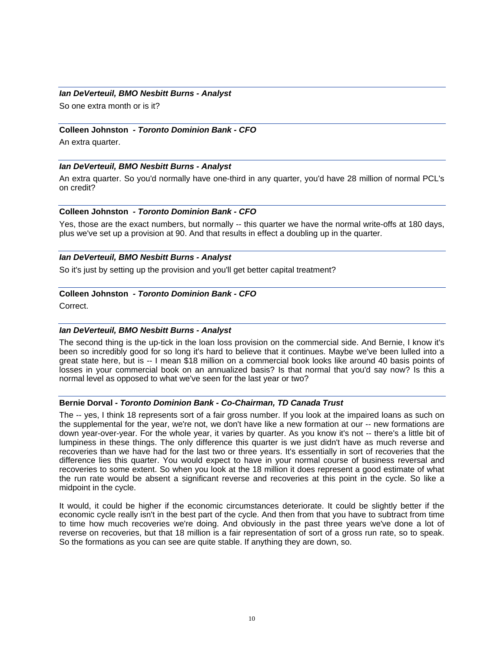### *Ian DeVerteuil, BMO Nesbitt Burns - Analyst*

So one extra month or is it?

#### **Colleen Johnston** *- Toronto Dominion Bank - CFO*

An extra quarter.

#### *Ian DeVerteuil, BMO Nesbitt Burns - Analyst*

An extra quarter. So you'd normally have one-third in any quarter, you'd have 28 million of normal PCL's on credit?

#### **Colleen Johnston** *- Toronto Dominion Bank - CFO*

Yes, those are the exact numbers, but normally -- this quarter we have the normal write-offs at 180 days, plus we've set up a provision at 90. And that results in effect a doubling up in the quarter.

### *Ian DeVerteuil, BMO Nesbitt Burns - Analyst*

So it's just by setting up the provision and you'll get better capital treatment?

#### **Colleen Johnston** *- Toronto Dominion Bank - CFO*

Correct.

### *Ian DeVerteuil, BMO Nesbitt Burns - Analyst*

The second thing is the up-tick in the loan loss provision on the commercial side. And Bernie, I know it's been so incredibly good for so long it's hard to believe that it continues. Maybe we've been lulled into a great state here, but is -- I mean \$18 million on a commercial book looks like around 40 basis points of losses in your commercial book on an annualized basis? Is that normal that you'd say now? Is this a normal level as opposed to what we've seen for the last year or two?

#### **Bernie Dorval** *- Toronto Dominion Bank - Co-Chairman, TD Canada Trust*

The -- yes, I think 18 represents sort of a fair gross number. If you look at the impaired loans as such on the supplemental for the year, we're not, we don't have like a new formation at our -- new formations are down year-over-year. For the whole year, it varies by quarter. As you know it's not -- there's a little bit of lumpiness in these things. The only difference this quarter is we just didn't have as much reverse and recoveries than we have had for the last two or three years. It's essentially in sort of recoveries that the difference lies this quarter. You would expect to have in your normal course of business reversal and recoveries to some extent. So when you look at the 18 million it does represent a good estimate of what the run rate would be absent a significant reverse and recoveries at this point in the cycle. So like a midpoint in the cycle.

It would, it could be higher if the economic circumstances deteriorate. It could be slightly better if the economic cycle really isn't in the best part of the cycle. And then from that you have to subtract from time to time how much recoveries we're doing. And obviously in the past three years we've done a lot of reverse on recoveries, but that 18 million is a fair representation of sort of a gross run rate, so to speak. So the formations as you can see are quite stable. If anything they are down, so.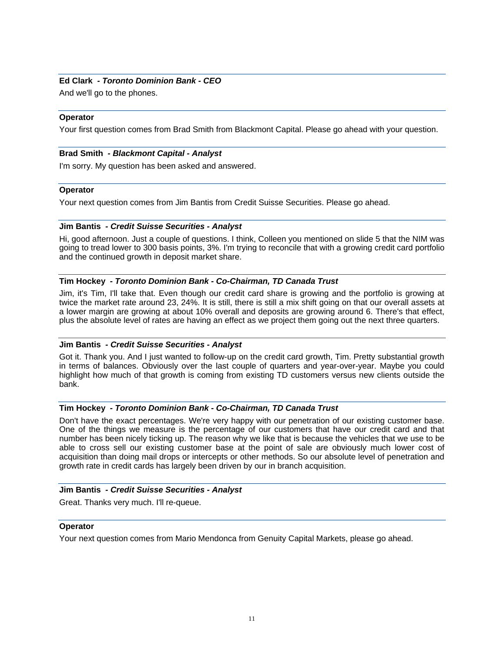# **Ed Clark** *- Toronto Dominion Bank - CEO*

And we'll go to the phones.

### **Operator**

Your first question comes from Brad Smith from Blackmont Capital. Please go ahead with your question.

# **Brad Smith** *- Blackmont Capital - Analyst*

I'm sorry. My question has been asked and answered.

### **Operator**

Your next question comes from Jim Bantis from Credit Suisse Securities. Please go ahead.

# **Jim Bantis** *- Credit Suisse Securities - Analyst*

Hi, good afternoon. Just a couple of questions. I think, Colleen you mentioned on slide 5 that the NIM was going to tread lower to 300 basis points, 3%. I'm trying to reconcile that with a growing credit card portfolio and the continued growth in deposit market share.

# **Tim Hockey** *- Toronto Dominion Bank - Co-Chairman, TD Canada Trust*

Jim, it's Tim, I'll take that. Even though our credit card share is growing and the portfolio is growing at twice the market rate around 23, 24%. It is still, there is still a mix shift going on that our overall assets at a lower margin are growing at about 10% overall and deposits are growing around 6. There's that effect, plus the absolute level of rates are having an effect as we project them going out the next three quarters.

# **Jim Bantis** *- Credit Suisse Securities - Analyst*

Got it. Thank you. And I just wanted to follow-up on the credit card growth, Tim. Pretty substantial growth in terms of balances. Obviously over the last couple of quarters and year-over-year. Maybe you could highlight how much of that growth is coming from existing TD customers versus new clients outside the bank.

### **Tim Hockey** *- Toronto Dominion Bank - Co-Chairman, TD Canada Trust*

Don't have the exact percentages. We're very happy with our penetration of our existing customer base. One of the things we measure is the percentage of our customers that have our credit card and that number has been nicely ticking up. The reason why we like that is because the vehicles that we use to be able to cross sell our existing customer base at the point of sale are obviously much lower cost of acquisition than doing mail drops or intercepts or other methods. So our absolute level of penetration and growth rate in credit cards has largely been driven by our in branch acquisition.

### **Jim Bantis** *- Credit Suisse Securities - Analyst*

Great. Thanks very much. I'll re-queue.

### **Operator**

Your next question comes from Mario Mendonca from Genuity Capital Markets, please go ahead.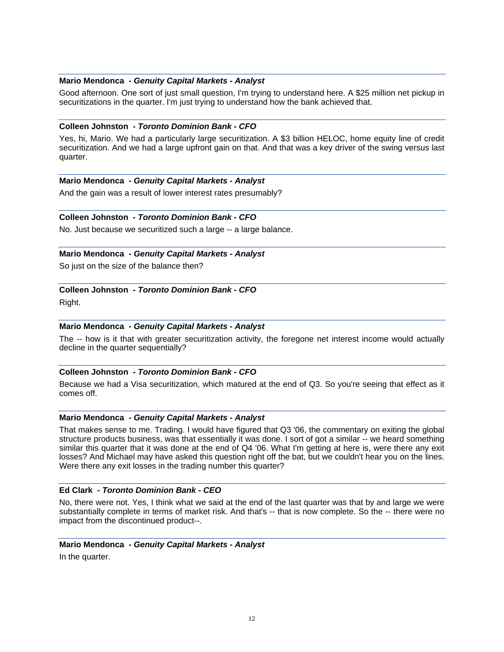### **Mario Mendonca** *- Genuity Capital Markets - Analyst*

Good afternoon. One sort of just small question, I'm trying to understand here. A \$25 million net pickup in securitizations in the quarter. I'm just trying to understand how the bank achieved that.

#### **Colleen Johnston** *- Toronto Dominion Bank - CFO*

Yes, hi, Mario. We had a particularly large securitization. A \$3 billion HELOC, home equity line of credit securitization. And we had a large upfront gain on that. And that was a key driver of the swing versus last quarter.

### **Mario Mendonca** *- Genuity Capital Markets - Analyst*

And the gain was a result of lower interest rates presumably?

# **Colleen Johnston** *- Toronto Dominion Bank - CFO*

No. Just because we securitized such a large -- a large balance.

### **Mario Mendonca** *- Genuity Capital Markets - Analyst*

So just on the size of the balance then?

# **Colleen Johnston** *- Toronto Dominion Bank - CFO*

Right.

### **Mario Mendonca** *- Genuity Capital Markets - Analyst*

The -- how is it that with greater securitization activity, the foregone net interest income would actually decline in the quarter sequentially?

### **Colleen Johnston** *- Toronto Dominion Bank - CFO*

Because we had a Visa securitization, which matured at the end of Q3. So you're seeing that effect as it comes off.

#### **Mario Mendonca** *- Genuity Capital Markets - Analyst*

That makes sense to me. Trading. I would have figured that Q3 '06, the commentary on exiting the global structure products business, was that essentially it was done. I sort of got a similar -- we heard something similar this quarter that it was done at the end of Q4 '06. What I'm getting at here is, were there any exit losses? And Michael may have asked this question right off the bat, but we couldn't hear you on the lines. Were there any exit losses in the trading number this quarter?

# **Ed Clark** *- Toronto Dominion Bank - CEO*

No, there were not. Yes, I think what we said at the end of the last quarter was that by and large we were substantially complete in terms of market risk. And that's -- that is now complete. So the -- there were no impact from the discontinued product--.

### **Mario Mendonca** *- Genuity Capital Markets - Analyst*

In the quarter.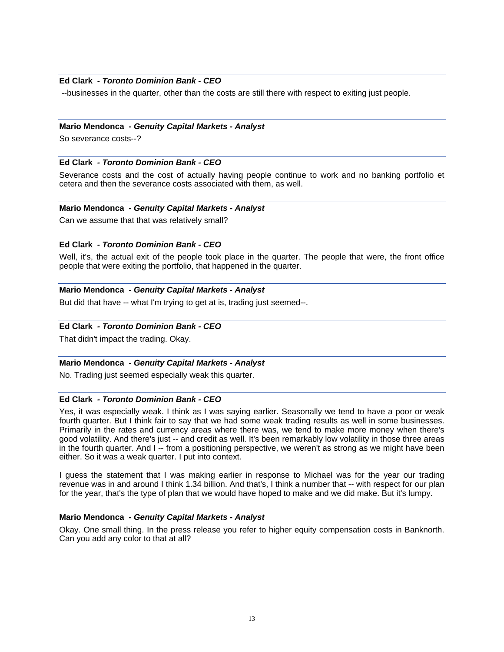# **Ed Clark** *- Toronto Dominion Bank - CEO*

--businesses in the quarter, other than the costs are still there with respect to exiting just people.

### **Mario Mendonca** *- Genuity Capital Markets - Analyst*

So severance costs--?

### **Ed Clark** *- Toronto Dominion Bank - CEO*

Severance costs and the cost of actually having people continue to work and no banking portfolio et cetera and then the severance costs associated with them, as well.

### **Mario Mendonca** *- Genuity Capital Markets - Analyst*

Can we assume that that was relatively small?

### **Ed Clark** *- Toronto Dominion Bank - CEO*

Well, it's, the actual exit of the people took place in the quarter. The people that were, the front office people that were exiting the portfolio, that happened in the quarter.

### **Mario Mendonca** *- Genuity Capital Markets - Analyst*

But did that have -- what I'm trying to get at is, trading just seemed--.

### **Ed Clark** *- Toronto Dominion Bank - CEO*

That didn't impact the trading. Okay.

#### **Mario Mendonca** *- Genuity Capital Markets - Analyst*

No. Trading just seemed especially weak this quarter.

# **Ed Clark** *- Toronto Dominion Bank - CEO*

Yes, it was especially weak. I think as I was saying earlier. Seasonally we tend to have a poor or weak fourth quarter. But I think fair to say that we had some weak trading results as well in some businesses. Primarily in the rates and currency areas where there was, we tend to make more money when there's good volatility. And there's just -- and credit as well. It's been remarkably low volatility in those three areas in the fourth quarter. And I -- from a positioning perspective, we weren't as strong as we might have been either. So it was a weak quarter. I put into context.

I guess the statement that I was making earlier in response to Michael was for the year our trading revenue was in and around I think 1.34 billion. And that's, I think a number that -- with respect for our plan for the year, that's the type of plan that we would have hoped to make and we did make. But it's lumpy.

### **Mario Mendonca** *- Genuity Capital Markets - Analyst*

Okay. One small thing. In the press release you refer to higher equity compensation costs in Banknorth. Can you add any color to that at all?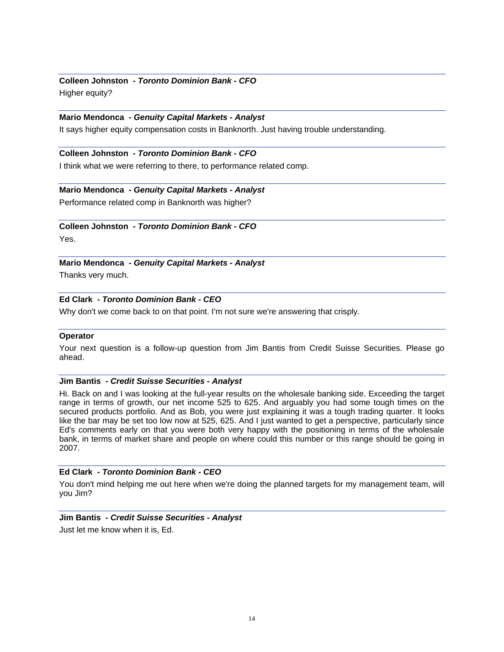# **Colleen Johnston** *- Toronto Dominion Bank - CFO*  Higher equity?

### **Mario Mendonca** *- Genuity Capital Markets - Analyst*

It says higher equity compensation costs in Banknorth. Just having trouble understanding.

## **Colleen Johnston** *- Toronto Dominion Bank - CFO*

I think what we were referring to there, to performance related comp.

### **Mario Mendonca** *- Genuity Capital Markets - Analyst*

Performance related comp in Banknorth was higher?

# **Colleen Johnston** *- Toronto Dominion Bank - CFO*

Yes.

**Mario Mendonca** *- Genuity Capital Markets - Analyst* 

Thanks very much.

# **Ed Clark** *- Toronto Dominion Bank - CEO*

Why don't we come back to on that point. I'm not sure we're answering that crisply.

### **Operator**

Your next question is a follow-up question from Jim Bantis from Credit Suisse Securities. Please go ahead.

#### **Jim Bantis** *- Credit Suisse Securities - Analyst*

Hi. Back on and I was looking at the full-year results on the wholesale banking side. Exceeding the target range in terms of growth, our net income 525 to 625. And arguably you had some tough times on the secured products portfolio. And as Bob, you were just explaining it was a tough trading quarter. It looks like the bar may be set too low now at 525, 625. And I just wanted to get a perspective, particularly since Ed's comments early on that you were both very happy with the positioning in terms of the wholesale bank, in terms of market share and people on where could this number or this range should be going in 2007.

### **Ed Clark** *- Toronto Dominion Bank - CEO*

You don't mind helping me out here when we're doing the planned targets for my management team, will you Jim?

### **Jim Bantis** *- Credit Suisse Securities - Analyst*

Just let me know when it is, Ed.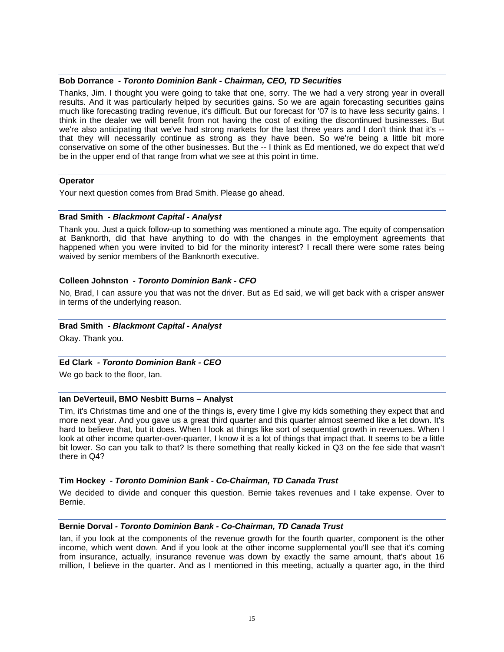### **Bob Dorrance** *- Toronto Dominion Bank - Chairman, CEO, TD Securities*

Thanks, Jim. I thought you were going to take that one, sorry. The we had a very strong year in overall results. And it was particularly helped by securities gains. So we are again forecasting securities gains much like forecasting trading revenue, it's difficult. But our forecast for '07 is to have less security gains. I think in the dealer we will benefit from not having the cost of exiting the discontinued businesses. But we're also anticipating that we've had strong markets for the last three years and I don't think that it's -that they will necessarily continue as strong as they have been. So we're being a little bit more conservative on some of the other businesses. But the -- I think as Ed mentioned, we do expect that we'd be in the upper end of that range from what we see at this point in time.

### **Operator**

Your next question comes from Brad Smith. Please go ahead.

### **Brad Smith** *- Blackmont Capital - Analyst*

Thank you. Just a quick follow-up to something was mentioned a minute ago. The equity of compensation at Banknorth, did that have anything to do with the changes in the employment agreements that happened when you were invited to bid for the minority interest? I recall there were some rates being waived by senior members of the Banknorth executive.

### **Colleen Johnston** *- Toronto Dominion Bank - CFO*

No, Brad, I can assure you that was not the driver. But as Ed said, we will get back with a crisper answer in terms of the underlying reason.

#### **Brad Smith** *- Blackmont Capital - Analyst*

Okay. Thank you.

### **Ed Clark** *- Toronto Dominion Bank - CEO*

We go back to the floor, Ian.

### **Ian DeVerteuil, BMO Nesbitt Burns – Analyst**

Tim, it's Christmas time and one of the things is, every time I give my kids something they expect that and more next year. And you gave us a great third quarter and this quarter almost seemed like a let down. It's hard to believe that, but it does. When I look at things like sort of sequential growth in revenues. When I look at other income quarter-over-quarter, I know it is a lot of things that impact that. It seems to be a little bit lower. So can you talk to that? Is there something that really kicked in Q3 on the fee side that wasn't there in Q4?

### **Tim Hockey** *- Toronto Dominion Bank - Co-Chairman, TD Canada Trust*

We decided to divide and conquer this question. Bernie takes revenues and I take expense. Over to Bernie.

#### **Bernie Dorval** *- Toronto Dominion Bank - Co-Chairman, TD Canada Trust*

Ian, if you look at the components of the revenue growth for the fourth quarter, component is the other income, which went down. And if you look at the other income supplemental you'll see that it's coming from insurance, actually, insurance revenue was down by exactly the same amount, that's about 16 million, I believe in the quarter. And as I mentioned in this meeting, actually a quarter ago, in the third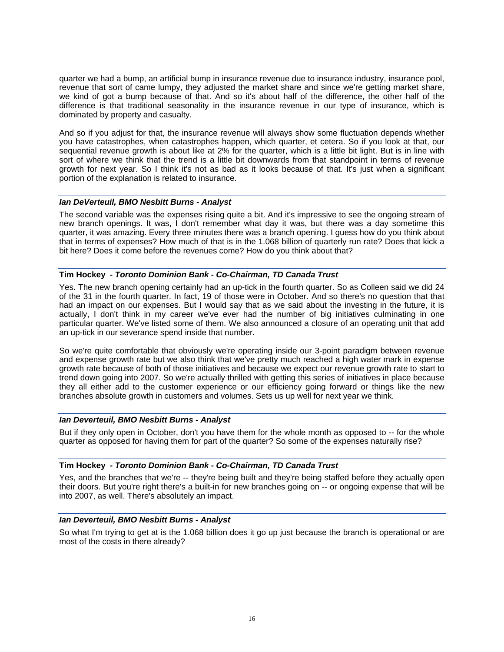quarter we had a bump, an artificial bump in insurance revenue due to insurance industry, insurance pool, revenue that sort of came lumpy, they adjusted the market share and since we're getting market share, we kind of got a bump because of that. And so it's about half of the difference, the other half of the difference is that traditional seasonality in the insurance revenue in our type of insurance, which is dominated by property and casualty.

And so if you adjust for that, the insurance revenue will always show some fluctuation depends whether you have catastrophes, when catastrophes happen, which quarter, et cetera. So if you look at that, our sequential revenue growth is about like at 2% for the quarter, which is a little bit light. But is in line with sort of where we think that the trend is a little bit downwards from that standpoint in terms of revenue growth for next year. So I think it's not as bad as it looks because of that. It's just when a significant portion of the explanation is related to insurance.

### *Ian DeVerteuil, BMO Nesbitt Burns - Analyst*

The second variable was the expenses rising quite a bit. And it's impressive to see the ongoing stream of new branch openings. It was, I don't remember what day it was, but there was a day sometime this quarter, it was amazing. Every three minutes there was a branch opening. I guess how do you think about that in terms of expenses? How much of that is in the 1.068 billion of quarterly run rate? Does that kick a bit here? Does it come before the revenues come? How do you think about that?

# **Tim Hockey** *- Toronto Dominion Bank - Co-Chairman, TD Canada Trust*

Yes. The new branch opening certainly had an up-tick in the fourth quarter. So as Colleen said we did 24 of the 31 in the fourth quarter. In fact, 19 of those were in October. And so there's no question that that had an impact on our expenses. But I would say that as we said about the investing in the future, it is actually, I don't think in my career we've ever had the number of big initiatives culminating in one particular quarter. We've listed some of them. We also announced a closure of an operating unit that add an up-tick in our severance spend inside that number.

So we're quite comfortable that obviously we're operating inside our 3-point paradigm between revenue and expense growth rate but we also think that we've pretty much reached a high water mark in expense growth rate because of both of those initiatives and because we expect our revenue growth rate to start to trend down going into 2007. So we're actually thrilled with getting this series of initiatives in place because they all either add to the customer experience or our efficiency going forward or things like the new branches absolute growth in customers and volumes. Sets us up well for next year we think.

### *Ian Deverteuil, BMO Nesbitt Burns - Analyst*

But if they only open in October, don't you have them for the whole month as opposed to -- for the whole quarter as opposed for having them for part of the quarter? So some of the expenses naturally rise?

### **Tim Hockey** *- Toronto Dominion Bank - Co-Chairman, TD Canada Trust*

Yes, and the branches that we're -- they're being built and they're being staffed before they actually open their doors. But you're right there's a built-in for new branches going on -- or ongoing expense that will be into 2007, as well. There's absolutely an impact.

# *Ian Deverteuil, BMO Nesbitt Burns - Analyst*

So what I'm trying to get at is the 1.068 billion does it go up just because the branch is operational or are most of the costs in there already?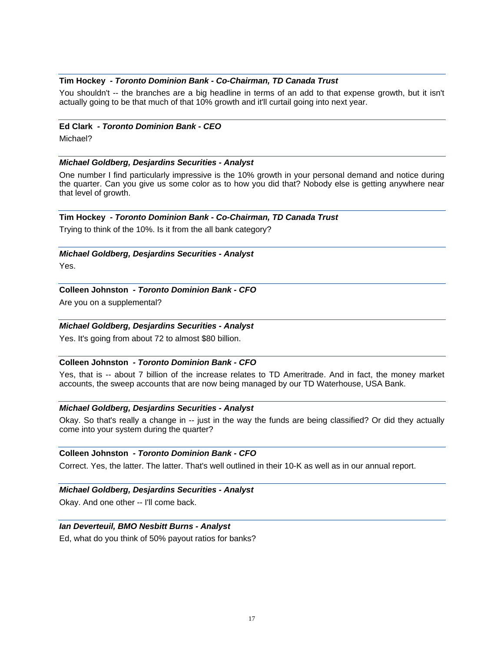### **Tim Hockey** *- Toronto Dominion Bank - Co-Chairman, TD Canada Trust*

You shouldn't -- the branches are a big headline in terms of an add to that expense growth, but it isn't actually going to be that much of that 10% growth and it'll curtail going into next year.

#### **Ed Clark** *- Toronto Dominion Bank - CEO*

Michael?

### *Michael Goldberg, Desjardins Securities - Analyst*

One number I find particularly impressive is the 10% growth in your personal demand and notice during the quarter. Can you give us some color as to how you did that? Nobody else is getting anywhere near that level of growth.

### **Tim Hockey** *- Toronto Dominion Bank - Co-Chairman, TD Canada Trust*

Trying to think of the 10%. Is it from the all bank category?

# *Michael Goldberg, Desjardins Securities - Analyst*

Yes.

# **Colleen Johnston** *- Toronto Dominion Bank - CFO*

Are you on a supplemental?

### *Michael Goldberg, Desjardins Securities - Analyst*

Yes. It's going from about 72 to almost \$80 billion.

### **Colleen Johnston** *- Toronto Dominion Bank - CFO*

Yes, that is -- about 7 billion of the increase relates to TD Ameritrade. And in fact, the money market accounts, the sweep accounts that are now being managed by our TD Waterhouse, USA Bank.

# *Michael Goldberg, Desjardins Securities - Analyst*

Okay. So that's really a change in -- just in the way the funds are being classified? Or did they actually come into your system during the quarter?

# **Colleen Johnston** *- Toronto Dominion Bank - CFO*

Correct. Yes, the latter. The latter. That's well outlined in their 10-K as well as in our annual report.

### *Michael Goldberg, Desjardins Securities - Analyst*

Okay. And one other -- I'll come back.

### *Ian Deverteuil, BMO Nesbitt Burns - Analyst*

Ed, what do you think of 50% payout ratios for banks?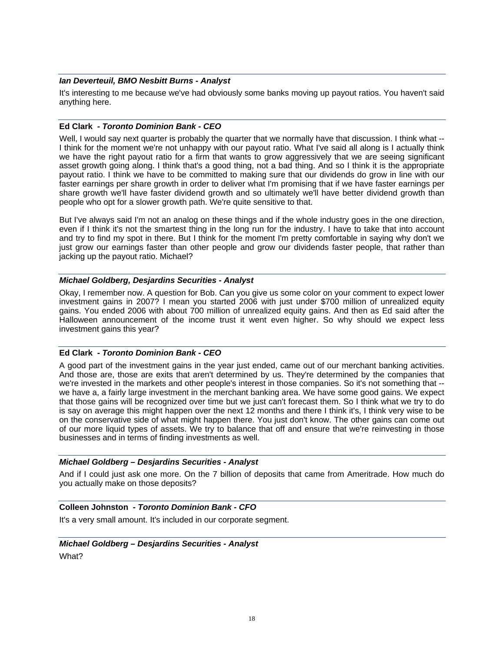### *Ian Deverteuil, BMO Nesbitt Burns - Analyst*

It's interesting to me because we've had obviously some banks moving up payout ratios. You haven't said anything here.

### **Ed Clark** *- Toronto Dominion Bank - CEO*

Well, I would say next quarter is probably the quarter that we normally have that discussion. I think what --I think for the moment we're not unhappy with our payout ratio. What I've said all along is I actually think we have the right payout ratio for a firm that wants to grow aggressively that we are seeing significant asset growth going along. I think that's a good thing, not a bad thing. And so I think it is the appropriate payout ratio. I think we have to be committed to making sure that our dividends do grow in line with our faster earnings per share growth in order to deliver what I'm promising that if we have faster earnings per share growth we'll have faster dividend growth and so ultimately we'll have better dividend growth than people who opt for a slower growth path. We're quite sensitive to that.

But I've always said I'm not an analog on these things and if the whole industry goes in the one direction, even if I think it's not the smartest thing in the long run for the industry. I have to take that into account and try to find my spot in there. But I think for the moment I'm pretty comfortable in saying why don't we just grow our earnings faster than other people and grow our dividends faster people, that rather than jacking up the payout ratio. Michael?

### *Michael Goldberg, Desjardins Securities - Analyst*

Okay, I remember now. A question for Bob. Can you give us some color on your comment to expect lower investment gains in 2007? I mean you started 2006 with just under \$700 million of unrealized equity gains. You ended 2006 with about 700 million of unrealized equity gains. And then as Ed said after the Halloween announcement of the income trust it went even higher. So why should we expect less investment gains this year?

### **Ed Clark** *- Toronto Dominion Bank - CEO*

A good part of the investment gains in the year just ended, came out of our merchant banking activities. And those are, those are exits that aren't determined by us. They're determined by the companies that we're invested in the markets and other people's interest in those companies. So it's not something that -we have a, a fairly large investment in the merchant banking area. We have some good gains. We expect that those gains will be recognized over time but we just can't forecast them. So I think what we try to do is say on average this might happen over the next 12 months and there I think it's, I think very wise to be on the conservative side of what might happen there. You just don't know. The other gains can come out of our more liquid types of assets. We try to balance that off and ensure that we're reinvesting in those businesses and in terms of finding investments as well.

### *Michael Goldberg – Desjardins Securities - Analyst*

And if I could just ask one more. On the 7 billion of deposits that came from Ameritrade. How much do you actually make on those deposits?

# **Colleen Johnston** *- Toronto Dominion Bank - CFO*

It's a very small amount. It's included in our corporate segment.

### *Michael Goldberg – Desjardins Securities - Analyst*

What?